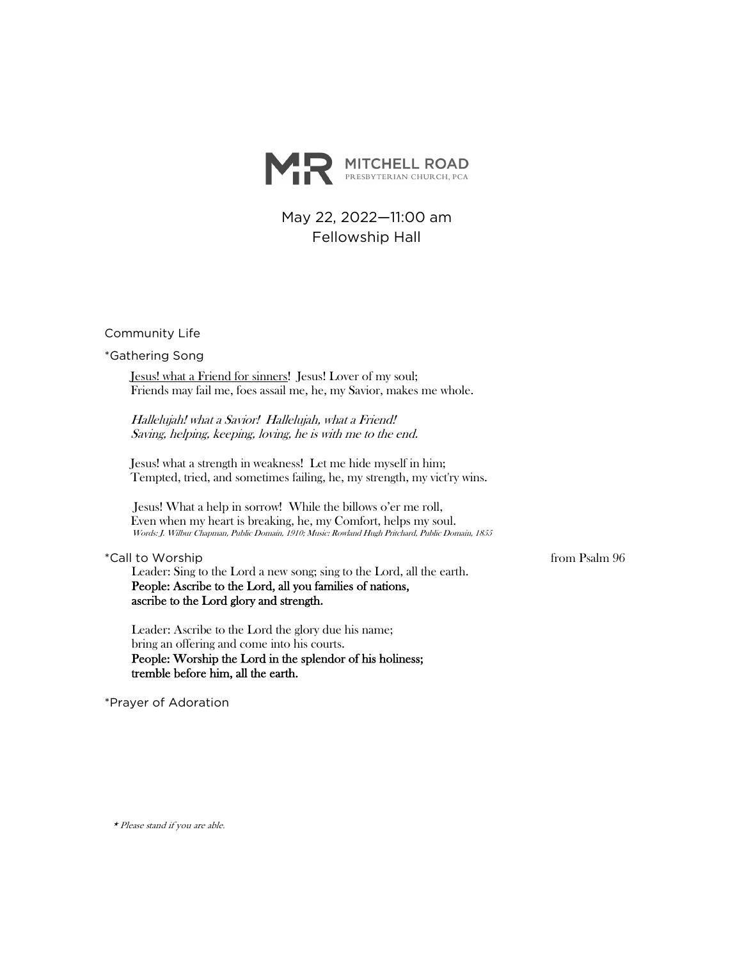

May 22, 2022—11:00 am Fellowship Hall

Community Life

\*Gathering Song

Jesus! what a Friend for sinners! Jesus! Lover of my soul; Friends may fail me, foes assail me, he, my Savior, makes me whole.

Hallelujah! what a Savior! Hallelujah, what a Friend! Saving, helping, keeping, loving, he is with me to the end.

Jesus! what a strength in weakness! Let me hide myself in him; Tempted, tried, and sometimes failing, he, my strength, my vict'ry wins.

Jesus! What a help in sorrow! While the billows o'er me roll, Even when my heart is breaking, he, my Comfort, helps my soul. Words: J. Wilbur Chapman, Public Domain, 1910; Music: Rowland Hugh Pritchard, Public Domain, 1855

\*Call to Worship from Psalm 96

Leader: Sing to the Lord a new song; sing to the Lord, all the earth. People: Ascribe to the Lord, all you families of nations, ascribe to the Lord glory and strength.

Leader: Ascribe to the Lord the glory due his name; bring an offering and come into his courts. People: Worship the Lord in the splendor of his holiness; tremble before him, all the earth.

\*Prayer of Adoration

\* Please stand if you are able.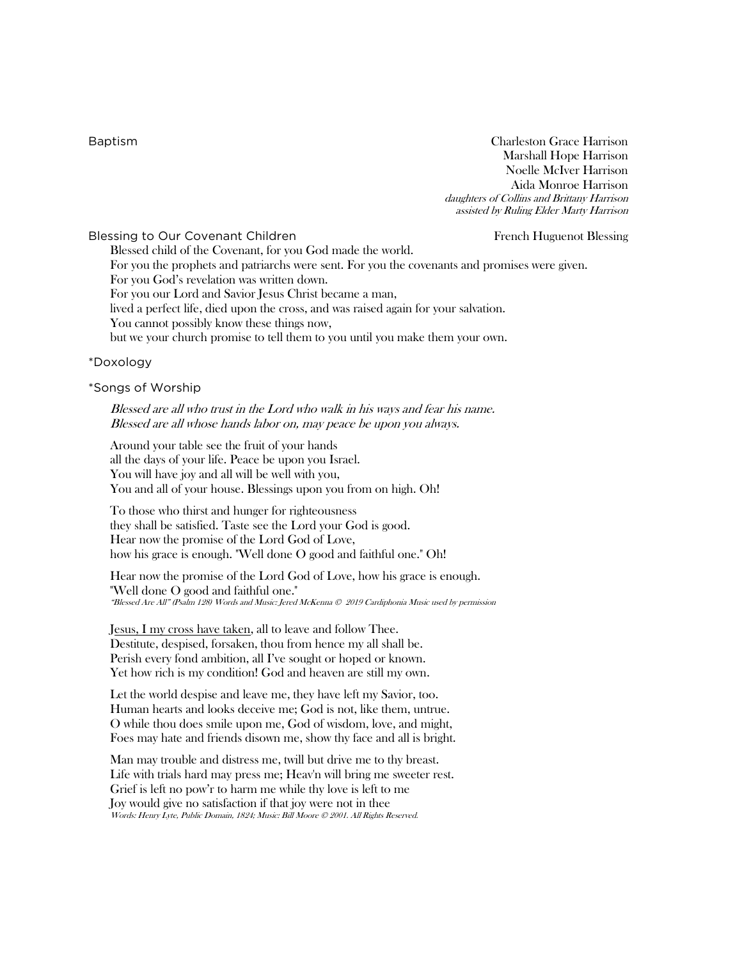Baptism Charleston Grace Harrison Marshall Hope Harrison Noelle McIver Harrison Aida Monroe Harrison daughters of Collins and Brittany Harrison assisted by Ruling Elder Marty Harrison

Blessing to Our Covenant Children French Huguenot Blessing French Huguenot Blessing Blessed child of the Covenant, for you God made the world. For you the prophets and patriarchs were sent. For you the covenants and promises were given. For you God's revelation was written down. For you our Lord and Savior Jesus Christ became a man, lived a perfect life, died upon the cross, and was raised again for your salvation. You cannot possibly know these things now, but we your church promise to tell them to you until you make them your own.

### \*Doxology

#### \*Songs of Worship

Blessed are all who trust in the Lord who walk in his ways and fear his name. Blessed are all whose hands labor on, may peace be upon you always.

Around your table see the fruit of your hands all the days of your life. Peace be upon you Israel. You will have joy and all will be well with you, You and all of your house. Blessings upon you from on high. Oh!

To those who thirst and hunger for righteousness they shall be satisfied. Taste see the Lord your God is good. Hear now the promise of the Lord God of Love, how his grace is enough. "Well done O good and faithful one." Oh!

Hear now the promise of the Lord God of Love, how his grace is enough. "Well done O good and faithful one." "Blessed Are All" (Psalm 128) Words and Music: Jered McKenna © 2019 Cardiphonia Music used by permission

Jesus, I my cross have taken, all to leave and follow Thee. Destitute, despised, forsaken, thou from hence my all shall be. Perish every fond ambition, all I've sought or hoped or known. Yet how rich is my condition! God and heaven are still my own.

Let the world despise and leave me, they have left my Savior, too. Human hearts and looks deceive me; God is not, like them, untrue. O while thou does smile upon me, God of wisdom, love, and might, Foes may hate and friends disown me, show thy face and all is bright.

Man may trouble and distress me, twill but drive me to thy breast. Life with trials hard may press me; Heav'n will bring me sweeter rest. Grief is left no pow'r to harm me while thy love is left to me Joy would give no satisfaction if that joy were not in thee Words: Henry Lyte, Public Domain, 1824; Music: Bill Moore © 2001. All Rights Reserved.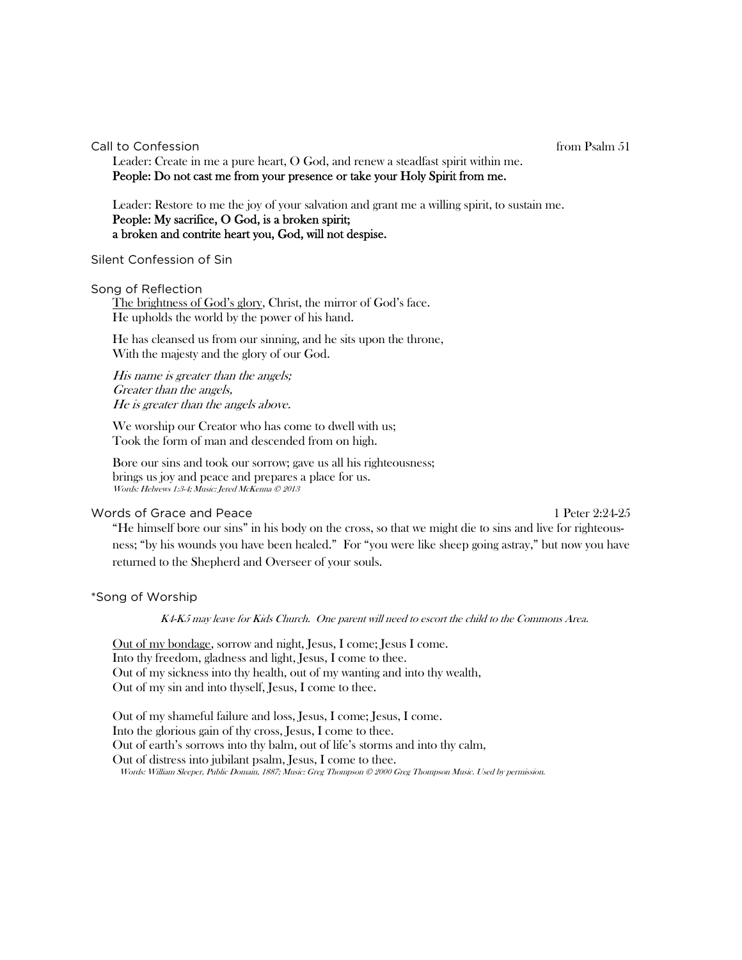Call to Confession **from Psalm 51** 

Leader: Create in me a pure heart, O God, and renew a steadfast spirit within me. People: Do not cast me from your presence or take your Holy Spirit from me.

Leader: Restore to me the joy of your salvation and grant me a willing spirit, to sustain me. People: My sacrifice, O God, is a broken spirit; a broken and contrite heart you, God, will not despise.

#### Silent Confession of Sin

Song of Reflection

The brightness of God's glory, Christ, the mirror of God's face. He upholds the world by the power of his hand.

He has cleansed us from our sinning, and he sits upon the throne, With the majesty and the glory of our God.

His name is greater than the angels; Greater than the angels, He is greater than the angels above.

We worship our Creator who has come to dwell with us; Took the form of man and descended from on high.

Bore our sins and took our sorrow; gave us all his righteousness; brings us joy and peace and prepares a place for us. Words: Hebrews 1:3-4; Music: Jered McKenna © 2013

# Words of Grace and Peace 1 Peter 2:24-25

"He himself bore our sins" in his body on the cross, so that we might die to sins and live for righteousness; "by his wounds you have been healed." For "you were like sheep going astray," but now you have returned to the Shepherd and Overseer of your souls.

#### \*Song of Worship

K4-K5 may leave for Kids Church. One parent will need to escort the child to the Commons Area.

Out of my bondage, sorrow and night, Jesus, I come; Jesus I come. Into thy freedom, gladness and light, Jesus, I come to thee. Out of my sickness into thy health, out of my wanting and into thy wealth, Out of my sin and into thyself, Jesus, I come to thee.

Out of my shameful failure and loss, Jesus, I come; Jesus, I come. Into the glorious gain of thy cross, Jesus, I come to thee. Out of earth's sorrows into thy balm, out of life's storms and into thy calm, Out of distress into jubilant psalm, Jesus, I come to thee. Words: William Sleeper, Public Domain, 1887; Music: Greg Thompson © 2000 Greg Thompson Music. Used by permission.